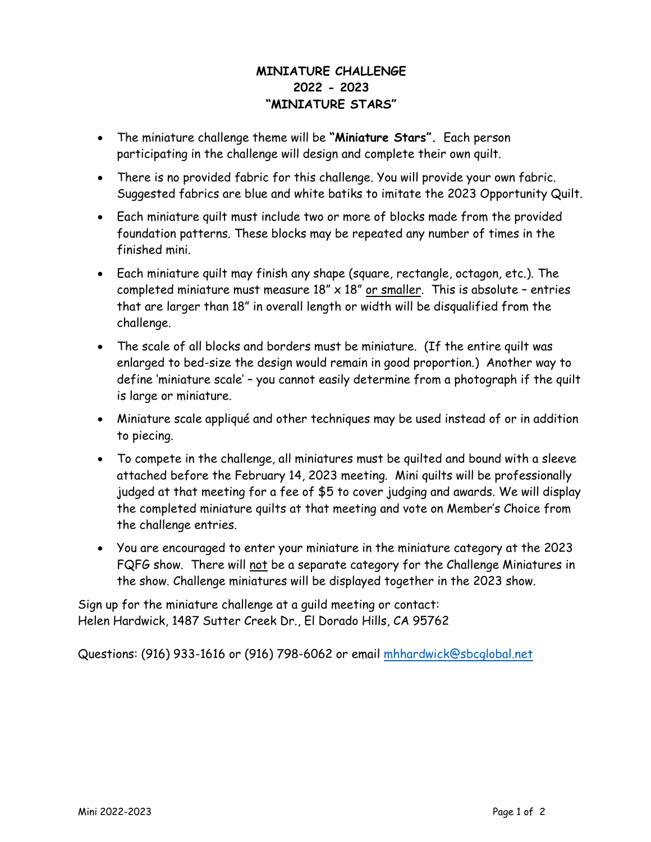## **MINIATURE CHALLENGE 2022 - 2023 "MINIATURE STARS"**

- The miniature challenge theme will be **"Miniature Stars".** Each person participating in the challenge will design and complete their own quilt.
- There is no provided fabric for this challenge. You will provide your own fabric. Suggested fabrics are blue and white batiks to imitate the 2023 Opportunity Quilt.
- Each miniature quilt must include two or more of blocks made from the provided foundation patterns. These blocks may be repeated any number of times in the finished mini.
- Each miniature quilt may finish any shape (square, rectangle, octagon, etc.). The completed miniature must measure  $18" \times 18"$  or smaller. This is absolute - entries that are larger than 18" in overall length or width will be disqualified from the challenge.
- The scale of all blocks and borders must be miniature. (If the entire quilt was enlarged to bed-size the design would remain in good proportion.) Another way to define 'miniature scale' – you cannot easily determine from a photograph if the quilt is large or miniature.
- Miniature scale appliqué and other techniques may be used instead of or in addition to piecing.
- To compete in the challenge, all miniatures must be quilted and bound with a sleeve attached before the February 14, 2023 meeting. Mini quilts will be professionally judged at that meeting for a fee of \$5 to cover judging and awards. We will display the completed miniature quilts at that meeting and vote on Member's Choice from the challenge entries.
- You are encouraged to enter your miniature in the miniature category at the 2023 FQFG show. There will not be a separate category for the Challenge Miniatures in the show. Challenge miniatures will be displayed together in the 2023 show.

Sign up for the miniature challenge at a guild meeting or contact: Helen Hardwick, 1487 Sutter Creek Dr., El Dorado Hills, CA 95762

Questions: (916) 933-1616 or (916) 798-6062 or ema[il mhhardwick@sbcglobal.ne](mailto:mhhardwick@sbcglobal.net)t